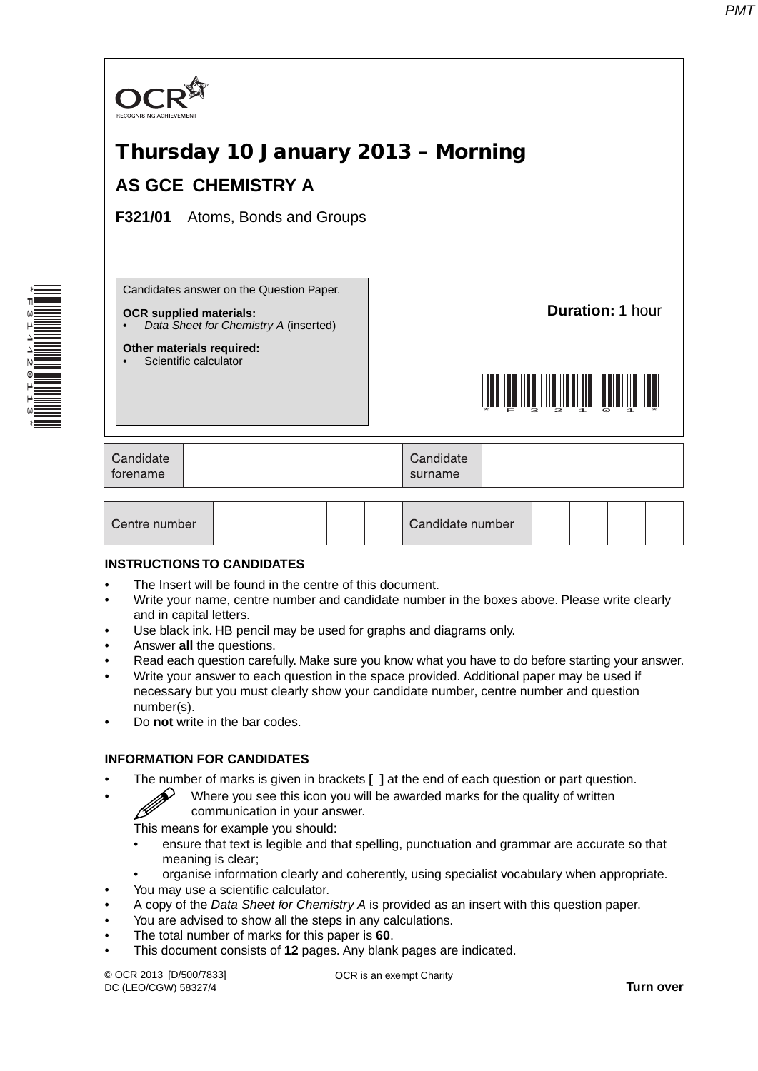

| Centre number |  |  |  |  |  | Candidate number |  |  |  |  |
|---------------|--|--|--|--|--|------------------|--|--|--|--|
|---------------|--|--|--|--|--|------------------|--|--|--|--|

# **INSTRUCTIONS TO CANDIDATES**

\*F314420113\*

- The Insert will be found in the centre of this document.
- Write your name, centre number and candidate number in the boxes above. Please write clearly and in capital letters.
- Use black ink. HB pencil may be used for graphs and diagrams only.
- Answer **all** the questions.
- Read each question carefully. Make sure you know what you have to do before starting your answer.
- Write your answer to each question in the space provided. Additional paper may be used if necessary but you must clearly show your candidate number, centre number and question number(s).
- Do **not** write in the bar codes.

# **INFORMATION FOR CANDIDATES**

- The number of marks is given in brackets **[ ]** at the end of each question or part question.
	- Where you see this icon you will be awarded marks for the quality of written communication in your answer.

This means for example you should:

- ensure that text is legible and that spelling, punctuation and grammar are accurate so that meaning is clear;
- organise information clearly and coherently, using specialist vocabulary when appropriate.
- You may use a scientific calculator.
- A copy of the *Data Sheet for Chemistry A* is provided as an insert with this question paper.
- You are advised to show all the steps in any calculations.
- The total number of marks for this paper is **60**.
- This document consists of **12** pages. Any blank pages are indicated.

© OCR 2013 [D/500/7833] DC (LEO/CGW) 58327/4

OCR is an exempt Charity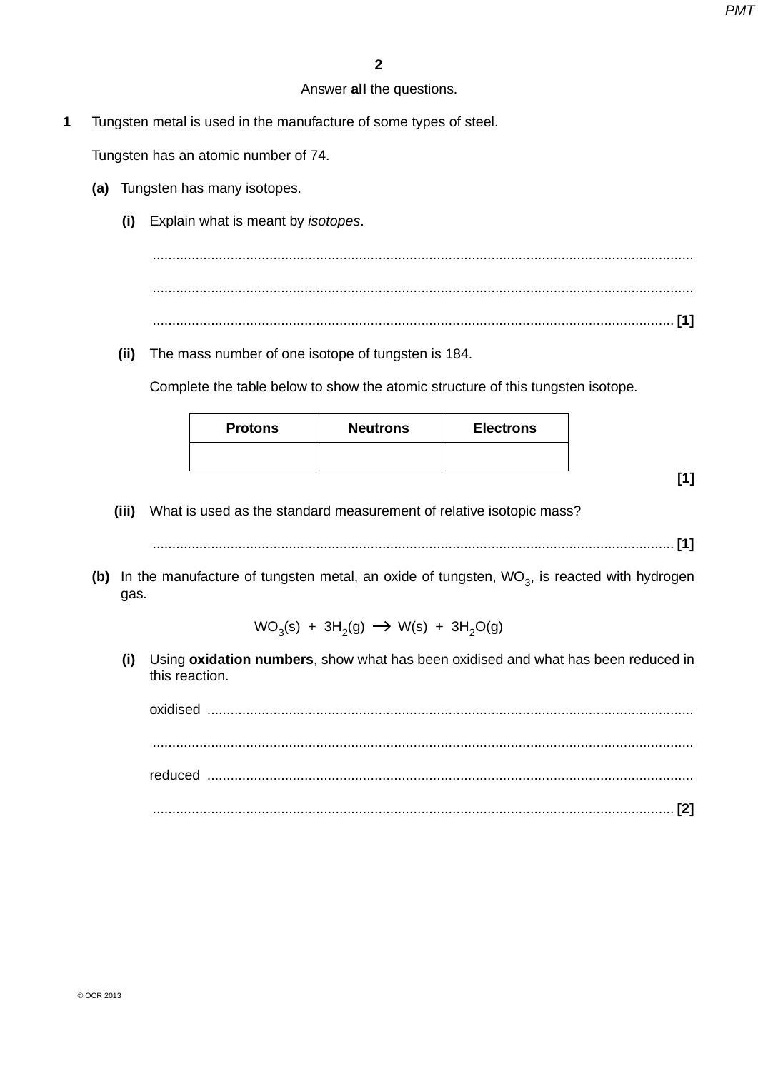# Answer **all** the questions.

**1** Tungsten metal is used in the manufacture of some types of steel.

Tungsten has an atomic number of 74.

- **(a)** Tungsten has many isotopes.
	- **(i)** Explain what is meant by *isotopes*.

 ........................................................................................................................................... ........................................................................................................................................... ...................................................................................................................................... **[1]**

 **(ii)** The mass number of one isotope of tungsten is 184.

Complete the table below to show the atomic structure of this tungsten isotope.

| <b>Protons</b> | <b>Neutrons</b> | <b>Electrons</b> |
|----------------|-----------------|------------------|
|                |                 |                  |

**[1]**

 **(iii)** What is used as the standard measurement of relative isotopic mass?

...................................................................................................................................... **[1]**

**(b)** In the manufacture of tungsten metal, an oxide of tungsten, WO<sub>3</sub>, is reacted with hydrogen gas.

 $WO_3(s) + 3H_2(g) \rightarrow W(s) + 3H_2O(g)$ 

 **(i)** Using **oxidation numbers**, show what has been oxidised and what has been reduced in this reaction.

oxidised ............................................................................................................................. ........................................................................................................................................... reduced ............................................................................................................................. ...................................................................................................................................... **[2]**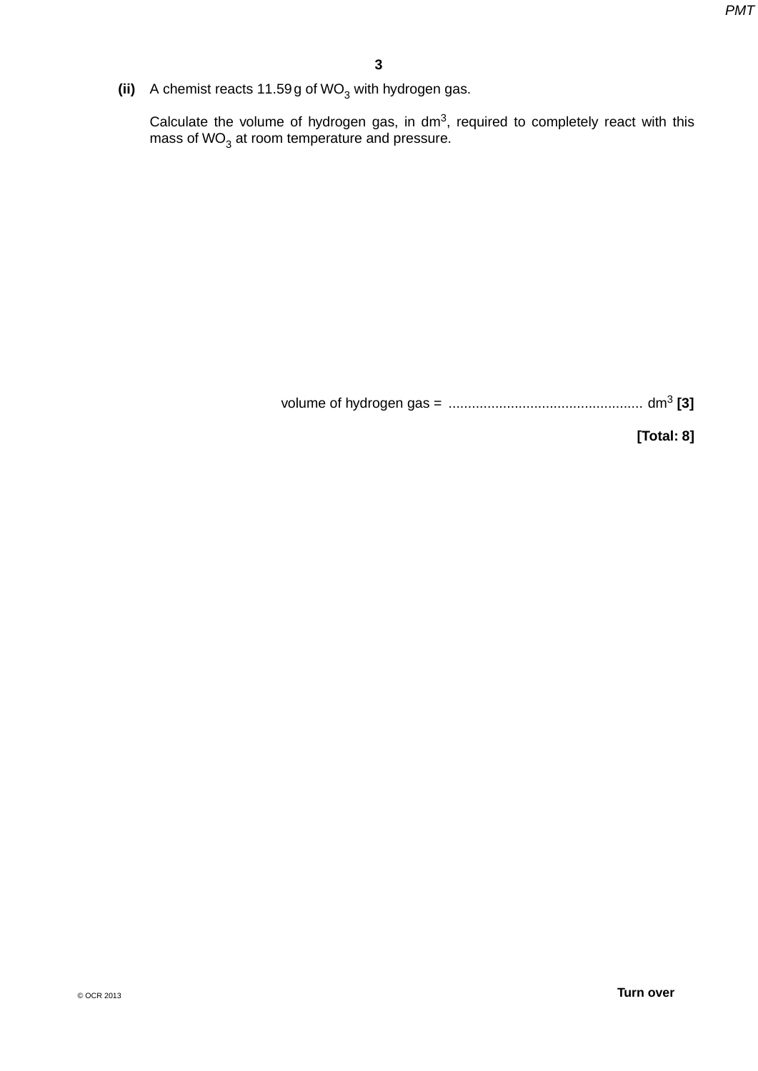(ii) A chemist reacts  $11.59g$  of WO<sub>3</sub> with hydrogen gas.

Calculate the volume of hydrogen gas, in dm<sup>3</sup>, required to completely react with this mass of WO $_3$  at room temperature and pressure.

volume of hydrogen gas = .................................................. dm3 **[3]**

**[Total: 8]**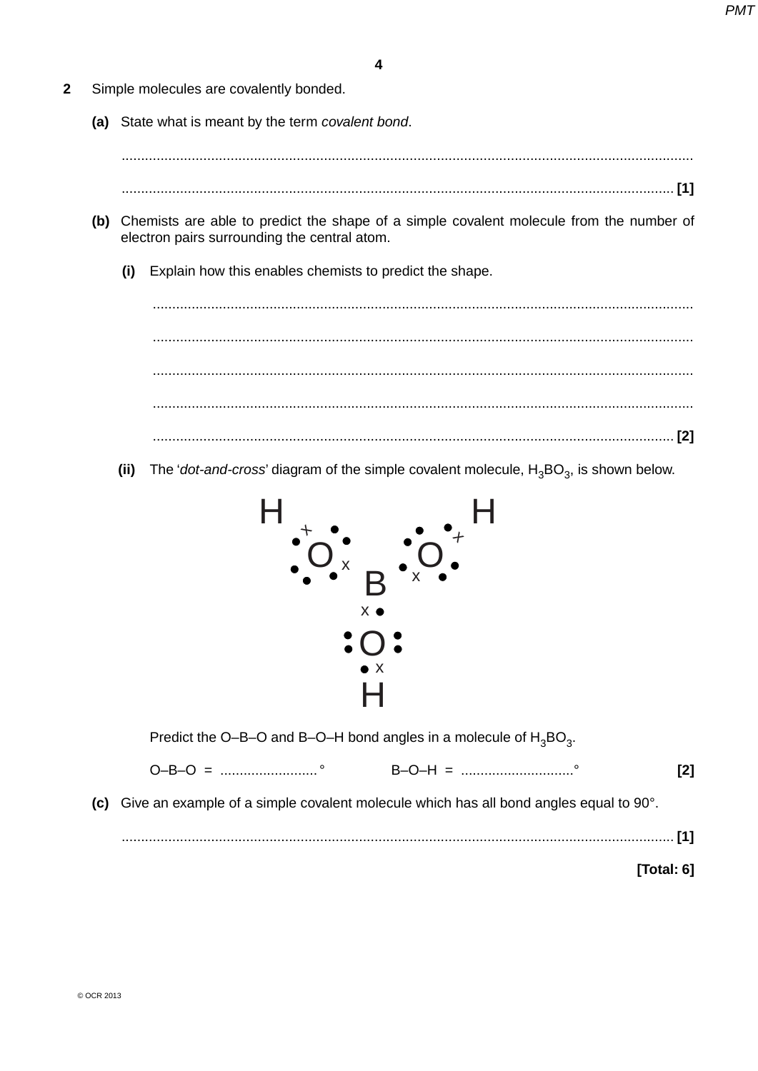- $\overline{2}$ Simple molecules are covalently bonded.
	- (a) State what is meant by the term covalent bond.

- 
- (b) Chemists are able to predict the shape of a simple covalent molecule from the number of electron pairs surrounding the central atom.
	- Explain how this enables chemists to predict the shape.  $(i)$

The 'dot-and-cross' diagram of the simple covalent molecule,  $H_3BO_3$ , is shown below.  $(ii)$ 



Predict the O-B-O and B-O-H bond angles in a molecule of  $H_3BO_3$ .

 $O-B-O = 1.11$  $\lceil 2 \rceil$ 

(c) Give an example of a simple covalent molecule which has all bond angles equal to 90°.

[Total: 6]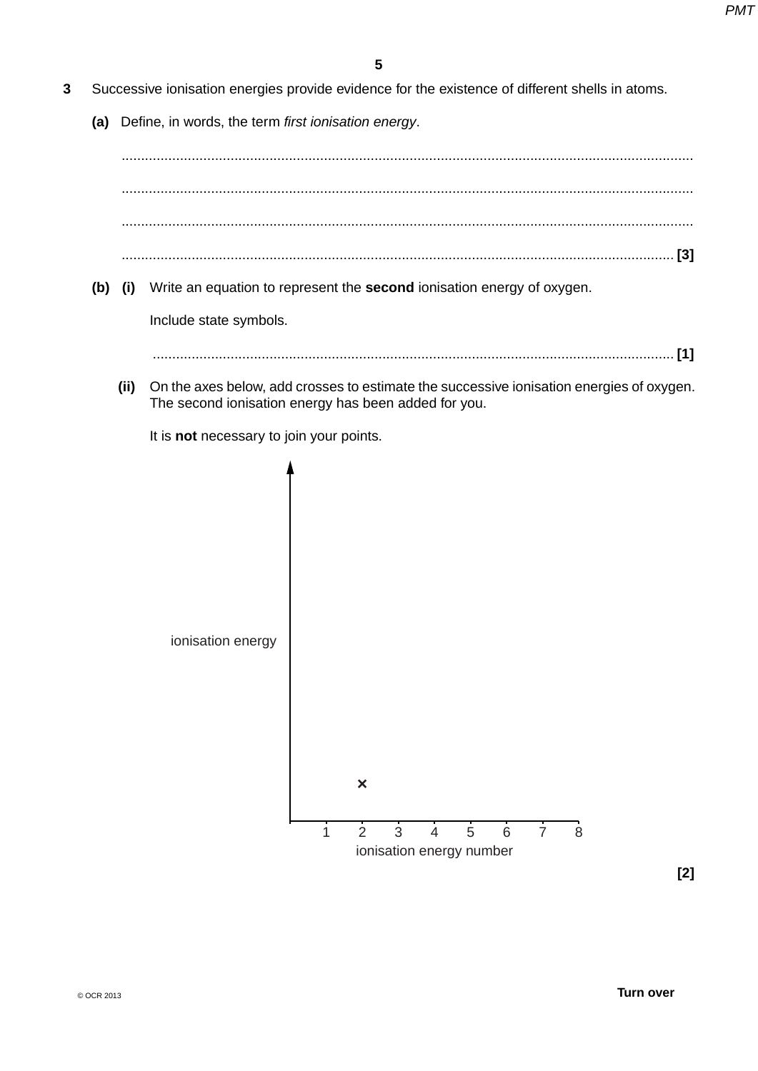- **3** Successive ionisation energies provide evidence for the existence of different shells in atoms.
	- **(a)** Define, in words, the term *first ionisation energy*.

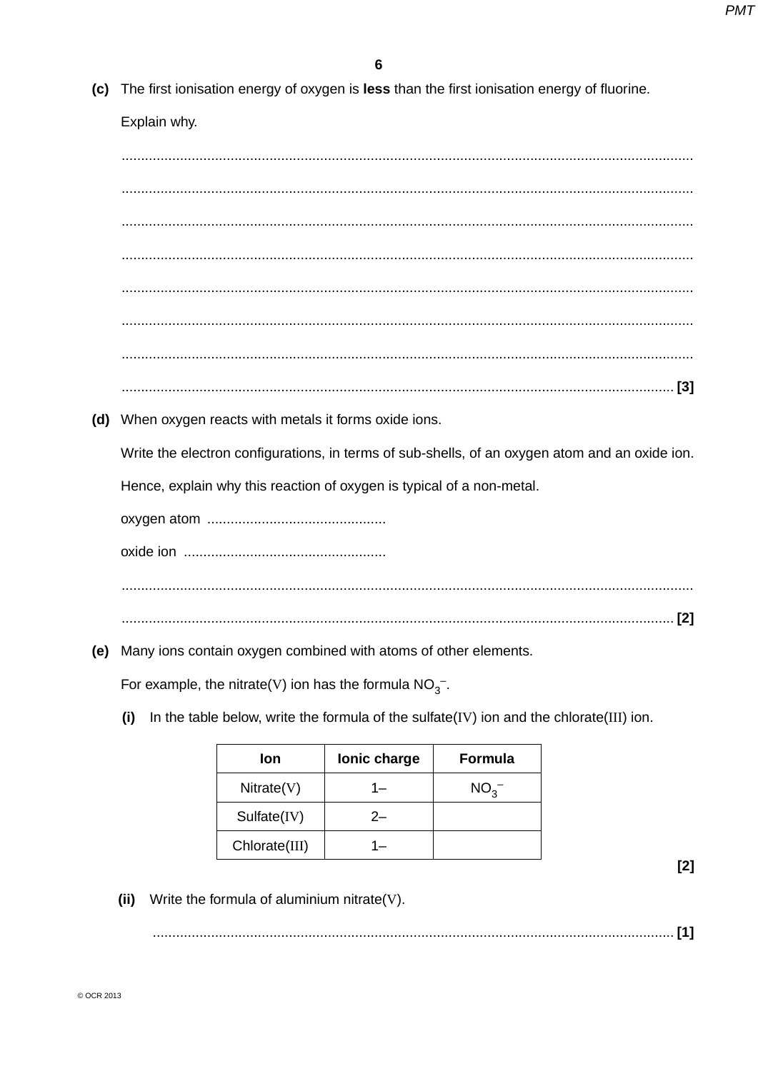(c) The first ionisation energy of oxygen is less than the first ionisation energy of fluorine.

Explain why.

(d) When oxygen reacts with metals it forms oxide ions.

Write the electron configurations, in terms of sub-shells, of an oxygen atom and an oxide ion.

Hence, explain why this reaction of oxygen is typical of a non-metal.

(e) Many ions contain oxygen combined with atoms of other elements.

For example, the nitrate(V) ion has the formula  $NO<sub>3</sub><sup>-</sup>$ .

In the table below, write the formula of the sulfate(IV) ion and the chlorate(III) ion.  $(i)$ 

| lon           | lonic charge | Formula      |
|---------------|--------------|--------------|
| Nitrate(V)    | 1—           | $NO_{3}^{-}$ |
| Sulfate(IV)   | 2—           |              |
| Chlorate(III) |              |              |

 $[2]$ 

(ii) Write the formula of aluminium nitrate(V).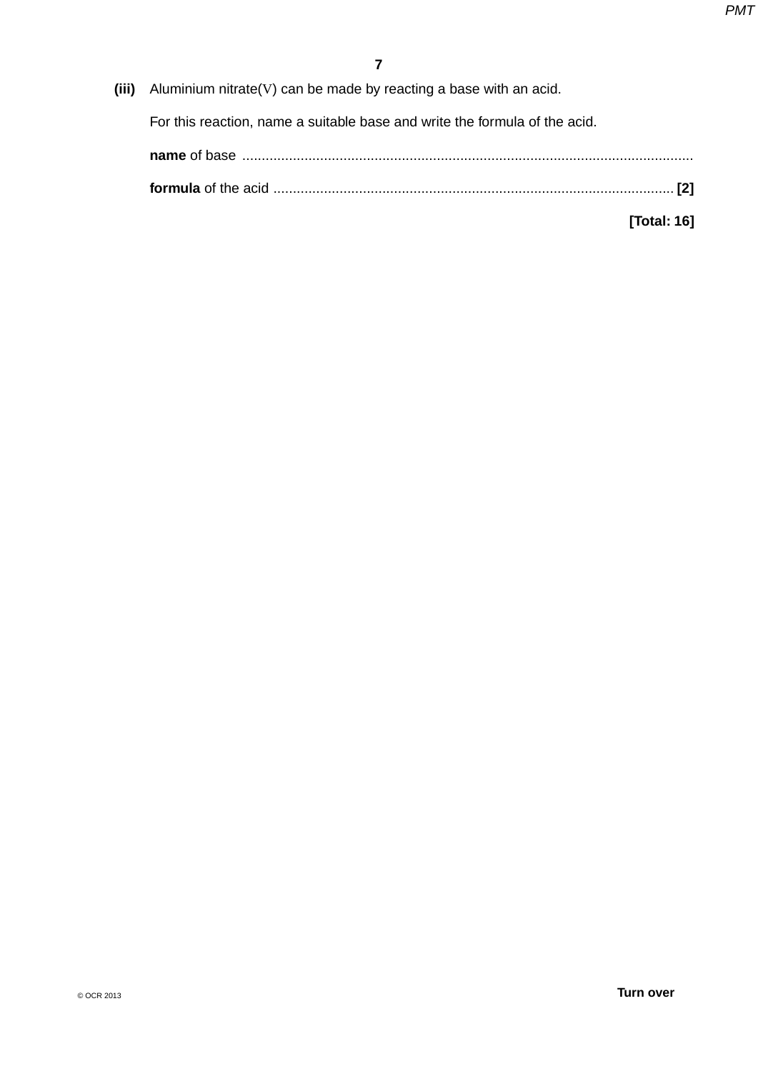**(iii)** Aluminium nitrate(V) can be made by reacting a base with an acid.

For this reaction, name a suitable base and write the formula of the acid.

**[Total: 16]**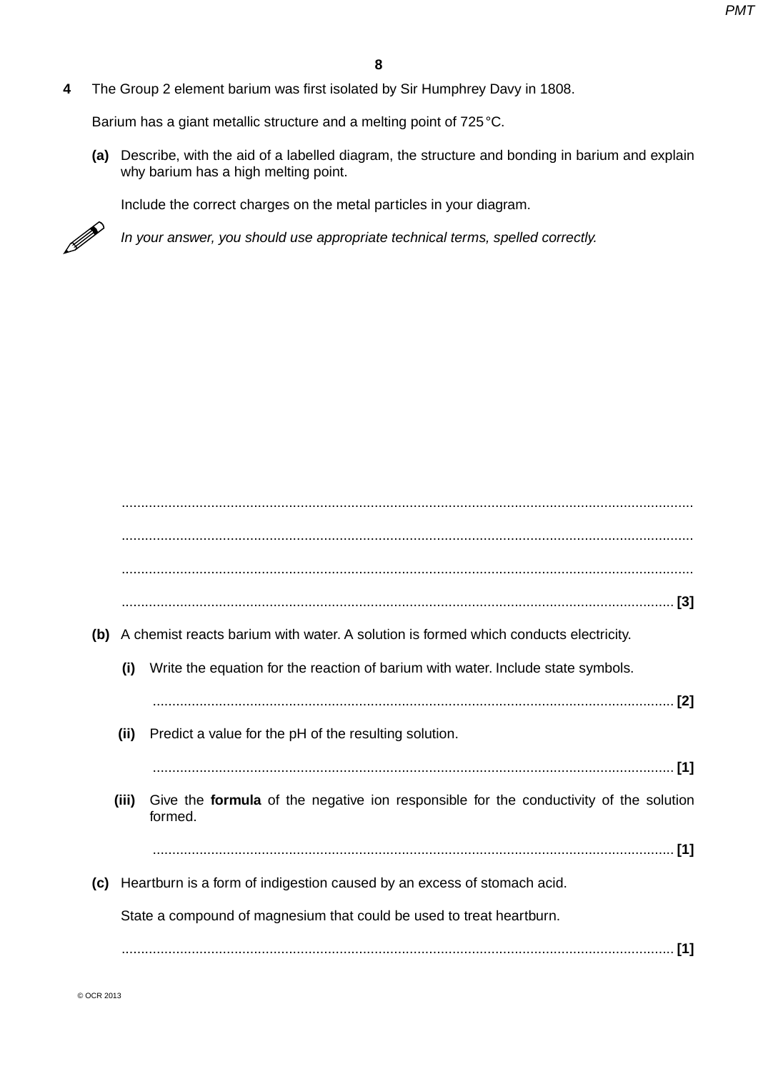**4** The Group 2 element barium was first isolated by Sir Humphrey Davy in 1808.

Barium has a giant metallic structure and a melting point of 725 °C.

 **(a)** Describe, with the aid of a labelled diagram, the structure and bonding in barium and explain why barium has a high melting point.

Include the correct charges on the metal particles in your diagram.



*In your answer, you should use appropriate technical terms, spelled correctly.*

| (b) A chemist reacts barium with water. A solution is formed which conducts electricity.                         |
|------------------------------------------------------------------------------------------------------------------|
| Write the equation for the reaction of barium with water. Include state symbols.<br>(i)                          |
|                                                                                                                  |
| (ii)<br>Predict a value for the pH of the resulting solution.                                                    |
|                                                                                                                  |
| Give the <b>formula</b> of the negative ion responsible for the conductivity of the solution<br>(iii)<br>formed. |
|                                                                                                                  |
| Heartburn is a form of indigestion caused by an excess of stomach acid.<br>(c)                                   |
| State a compound of magnesium that could be used to treat heartburn.                                             |
| [1]                                                                                                              |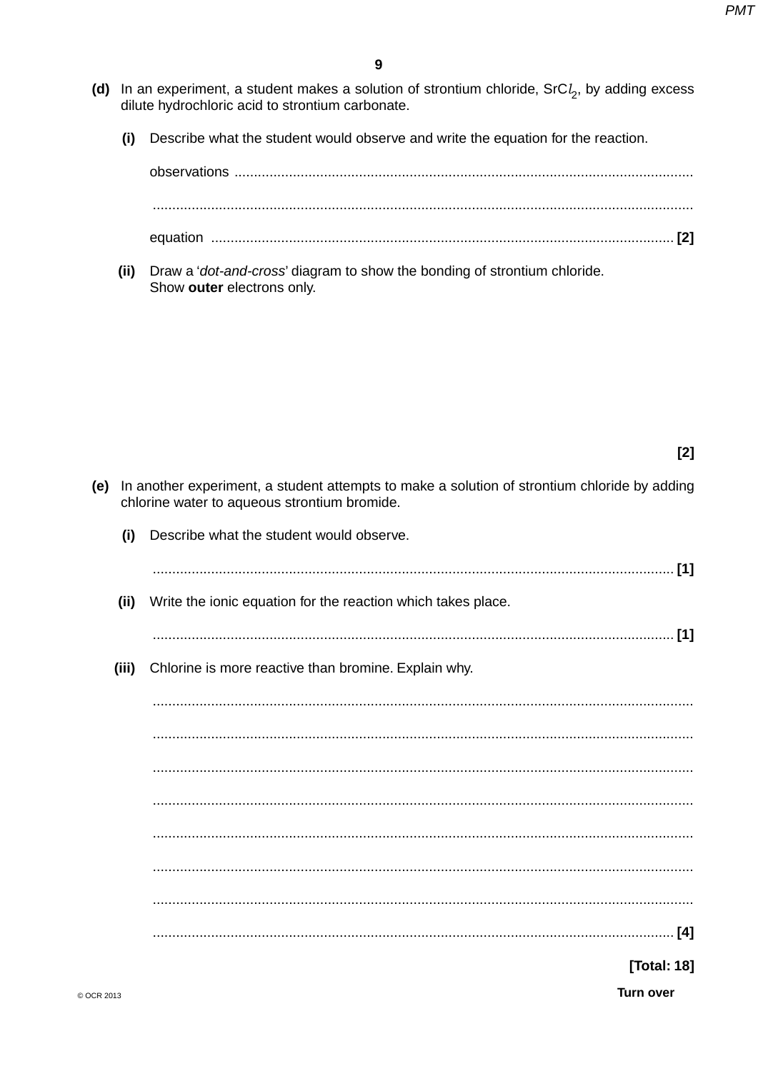- (d) In an experiment, a student makes a solution of strontium chloride,  $SrCl<sub>2</sub>$ , by adding excess dilute hydrochloric acid to strontium carbonate.
	- Describe what the student would observe and write the equation for the reaction.  $(i)$

(ii) Draw a '*dot-and-cross'* diagram to show the bonding of strontium chloride. Show outer electrons only.

 $[2]$ 

- (e) In another experiment, a student attempts to make a solution of strontium chloride by adding chlorine water to aqueous strontium bromide.
	- Describe what the student would observe.  $(i)$  $(ii)$ Write the ionic equation for the reaction which takes place. Chlorine is more reactive than bromine. Explain why.  $(iii)$ [Total: 18]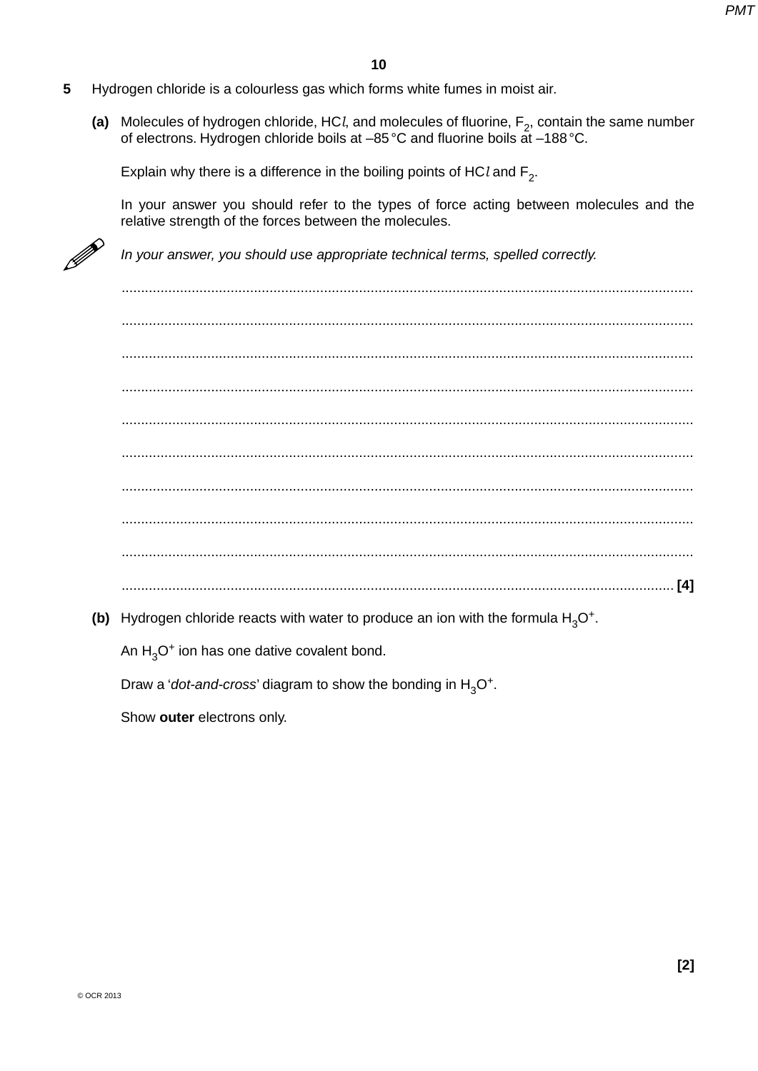- 5 Hydrogen chloride is a colourless gas which forms white fumes in moist air.
	- (a) Molecules of hydrogen chloride, HCl, and molecules of fluorine,  $F_2$ , contain the same number of electrons. Hydrogen chloride boils at -85 °C and fluorine boils at -188 °C.

Explain why there is a difference in the boiling points of HCl and  $F_2$ .

In your answer you should refer to the types of force acting between molecules and the relative strength of the forces between the molecules.



In your answer, you should use appropriate technical terms, spelled correctly.

(b) Hydrogen chloride reacts with water to produce an ion with the formula  $H_3O^+$ .

An  $H_3O^+$  ion has one dative covalent bond.

Draw a '*dot-and-cross'* diagram to show the bonding in  $H_3O^+$ .

Show outer electrons only.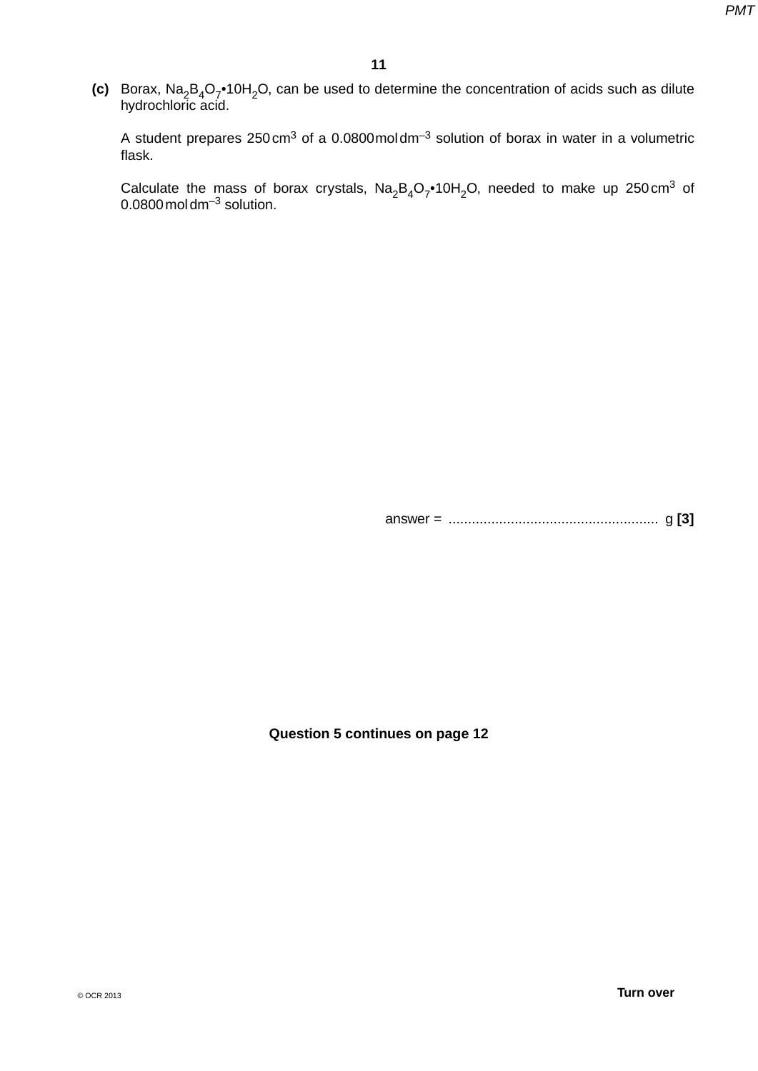**(c)** Borax, Na<sub>2</sub>B<sub>4</sub>O<sub>7</sub>•10H<sub>2</sub>O, can be used to determine the concentration of acids such as dilute hydrochloric acid.

A student prepares 250 cm3 of a 0.0800mol dm–3 solution of borax in water in a volumetric flask.

Calculate the mass of borax crystals,  $Na<sub>2</sub>B<sub>4</sub>O<sub>7</sub>•10H<sub>2</sub>O$ , needed to make up 250 cm<sup>3</sup> of  $0.0800$  mol dm<sup>-3</sup> solution.

answer = ...................................................... g **[3]**

**Question 5 continues on page 12**